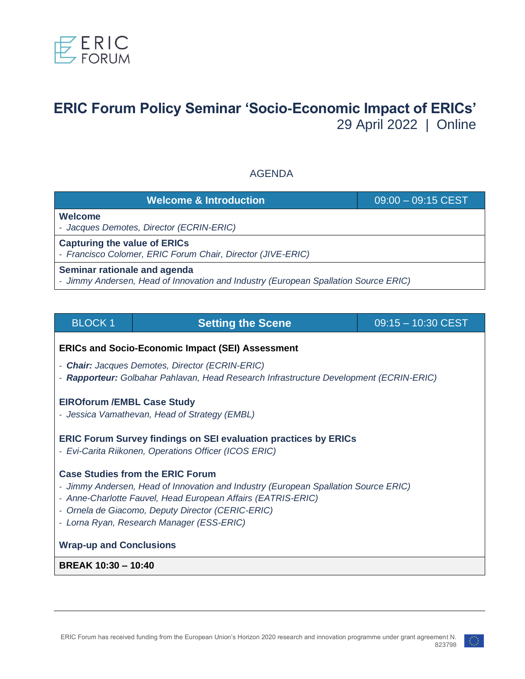

# **ERIC Forum Policy Seminar 'Socio-Economic Impact of ERICs'** 29 April 2022 | Online

# AGENDA

| <b>Welcome &amp; Introduction</b>                                                                                   | $09:00 - 09:15$ CEST |  |
|---------------------------------------------------------------------------------------------------------------------|----------------------|--|
| Welcome<br>- Jacques Demotes, Director (ECRIN-ERIC)                                                                 |                      |  |
| <b>Capturing the value of ERICs</b><br>- Francisco Colomer, ERIC Forum Chair, Director (JIVE-ERIC)                  |                      |  |
| Seminar rationale and agenda<br>- Jimmy Andersen, Head of Innovation and Industry (European Spallation Source ERIC) |                      |  |

| <b>BLOCK1</b>                                                                                                                                                                                                                                                                                    | <b>Setting the Scene</b> | $09:15 - 10:30$ CEST |  |  |
|--------------------------------------------------------------------------------------------------------------------------------------------------------------------------------------------------------------------------------------------------------------------------------------------------|--------------------------|----------------------|--|--|
| <b>ERICs and Socio-Economic Impact (SEI) Assessment</b>                                                                                                                                                                                                                                          |                          |                      |  |  |
| - Chair: Jacques Demotes, Director (ECRIN-ERIC)<br>- Rapporteur: Golbahar Pahlavan, Head Research Infrastructure Development (ECRIN-ERIC)                                                                                                                                                        |                          |                      |  |  |
| <b>EIROforum / EMBL Case Study</b><br>- Jessica Vamathevan, Head of Strategy (EMBL)                                                                                                                                                                                                              |                          |                      |  |  |
| <b>ERIC Forum Survey findings on SEI evaluation practices by ERICs</b><br>- Evi-Carita Riikonen, Operations Officer (ICOS ERIC)                                                                                                                                                                  |                          |                      |  |  |
| <b>Case Studies from the ERIC Forum</b><br>- Jimmy Andersen, Head of Innovation and Industry (European Spallation Source ERIC)<br>- Anne-Charlotte Fauvel, Head European Affairs (EATRIS-ERIC)<br>- Ornela de Giacomo, Deputy Director (CERIC-ERIC)<br>- Lorna Ryan, Research Manager (ESS-ERIC) |                          |                      |  |  |
| <b>Wrap-up and Conclusions</b>                                                                                                                                                                                                                                                                   |                          |                      |  |  |
| <b>BREAK 10:30 - 10:40</b>                                                                                                                                                                                                                                                                       |                          |                      |  |  |
|                                                                                                                                                                                                                                                                                                  |                          |                      |  |  |

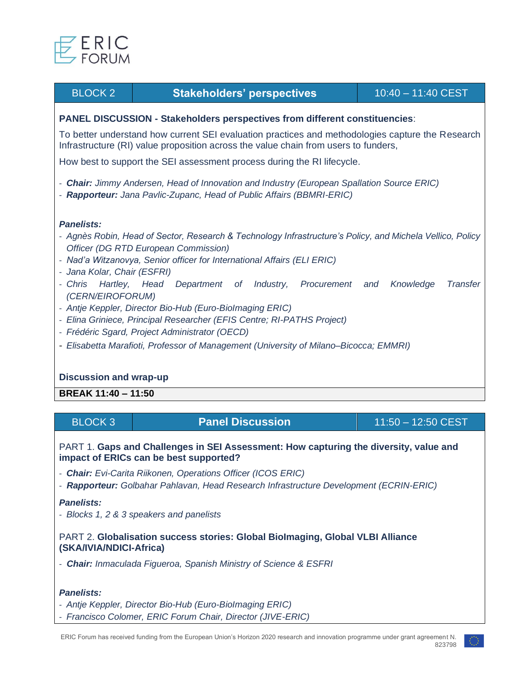

# BLOCK 2 **Stakeholders' perspectives** 10:40 – 11:40 CEST

### **PANEL DISCUSSION - Stakeholders perspectives from different constituencies**:

To better understand how current SEI evaluation practices and methodologies capture the Research Infrastructure (RI) value proposition across the value chain from users to funders,

How best to support the SEI assessment process during the RI lifecycle.

- *Chair: Jimmy Andersen, Head of Innovation and Industry (European Spallation Source ERIC)*
- *Rapporteur: Jana Pavlic-Zupanc, Head of Public Affairs (BBMRI-ERIC)*

#### *Panelists:*

- *Agnès Robin, Head of Sector, Research & Technology Infrastructure's Policy, and Michela Vellico, Policy Officer (DG RTD European Commission)*
- *Nad'a Witzanovya, Senior officer for International Affairs (ELI ERIC)*
- *Jana Kolar, Chair (ESFRI)*
- *Chris Hartley, Head Department of Industry, Procurement and Knowledge Transfer (CERN/EIROFORUM)*
- *Antje Keppler, Director Bio-Hub (Euro-BioImaging ERIC)*
- *Elina Griniece, Principal Researcher (EFIS Centre; RI-PATHS Project)*
- *Frédéric Sgard, Project Administrator (OECD)*
- *Elisabetta Marafioti, Professor of Management (University of Milano–Bicocca; EMMRI)*

## **Discussion and wrap-up**

**BREAK 11:40 – 11:50**

| BLOCK 3 | <b>Panel Discussion</b> $^{\circ}$ | 11:50 - 12:50 CEST |
|---------|------------------------------------|--------------------|
|---------|------------------------------------|--------------------|

#### PART 1. **Gaps and Challenges in SEI Assessment: How capturing the diversity, value and impact of ERICs can be best supported?**

- *Chair: Evi-Carita Riikonen, Operations Officer (ICOS ERIC)*
- *Rapporteur: Golbahar Pahlavan, Head Research Infrastructure Development (ECRIN-ERIC)*

#### *Panelists:*

- *Blocks 1, 2 & 3 speakers and panelists*

#### PART 2. **Globalisation success stories: Global BioImaging, Global VLBI Alliance (SKA/IVIA[/NDICI-](https://ec.europa.eu/neighbourhood-enlargement/funding-and-technical-assistance/neighbourhood-development-and-international-cooperation-instrument-global-europe-ndici-global-europe_es)Africa)**

- *Chair: Inmaculada Figueroa, Spanish Ministry of Science & ESFRI*

#### *Panelists:*

- *Antje Keppler, Director Bio-Hub (Euro-BioImaging ERIC)*
- *Francisco Colomer, ERIC Forum Chair, Director (JIVE-ERIC)*